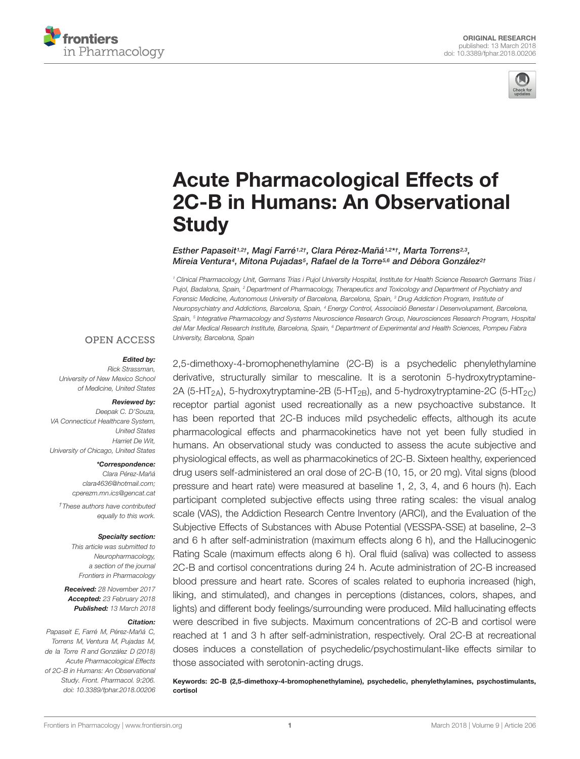



# Acute Pharmacological Effects of [2C-B in Humans: An Observational](https://www.frontiersin.org/articles/10.3389/fphar.2018.00206/full) **Study**

[Esther Papaseit](http://loop.frontiersin.org/people/534252/overview)<sup>1,2†</sup>, [Magí Farré](http://loop.frontiersin.org/people/42691/overview)<sup>1,2†</sup>, [Clara Pérez-Mañá](http://loop.frontiersin.org/people/503380/overview)<sup>1,2</sup>\*†, [Marta Torrens](http://loop.frontiersin.org/people/209551/overview)<sup>2,3</sup>, Mireia Ventura<sup>4</sup>, Mitona Pujadas<sup>5</sup>, [Rafael de la Torre](http://loop.frontiersin.org/people/50762/overview)<sup>5,6</sup> and [Débora González](http://loop.frontiersin.org/people/534230/overview)<sup>2†</sup>

<sup>1</sup> Clinical Pharmacology Unit, Germans Trias i Pujol University Hospital, Institute for Health Science Research Germans Trias i Pujol, Badalona, Spain, <sup>2</sup> Department of Pharmacology, Therapeutics and Toxicology and Department of Psychiatry and Forensic Medicine, Autonomous University of Barcelona, Barcelona, Spain, <sup>3</sup> Drug Addiction Program, Institute of Neuropsychiatry and Addictions, Barcelona, Spain, <sup>4</sup> Energy Control, Associació Benestar i Desenvolupament, Barcelona, Spain, <sup>5</sup> Integrative Pharmacology and Systems Neuroscience Research Group, Neurosciences Research Program, Hospital del Mar Medical Research Institute, Barcelona, Spain, <sup>6</sup> Department of Experimental and Health Sciences, Pompeu Fabra University, Barcelona, Spain

#### **OPEN ACCESS**

#### Edited by:

Rick Strassman, University of New Mexico School of Medicine, United States

#### Reviewed by:

Deepak C. D'Souza, VA Connecticut Healthcare System, United States Harriet De Wit, University of Chicago, United States

#### \*Correspondence:

Clara Pérez-Mañá clara4636@hotmail.com; cperezm.mn.ics@gencat.cat

†These authors have contributed equally to this work.

#### Specialty section:

This article was submitted to Neuropharmacology, a section of the journal Frontiers in Pharmacology

Received: 28 November 2017 Accepted: 23 February 2018 Published: 13 March 2018

#### Citation:

Papaseit E, Farré M, Pérez-Mañá C, Torrens M, Ventura M, Pujadas M, de la Torre R and González D (2018) Acute Pharmacological Effects of 2C-B in Humans: An Observational Study. Front. Pharmacol. 9:206. doi: [10.3389/fphar.2018.00206](https://doi.org/10.3389/fphar.2018.00206) 2,5-dimethoxy-4-bromophenethylamine (2C-B) is a psychedelic phenylethylamine derivative, structurally similar to mescaline. It is a serotonin 5-hydroxytryptamine-2A (5-HT<sub>2A</sub>), 5-hydroxytryptamine-2B (5-HT<sub>2B</sub>), and 5-hydroxytryptamine-2C (5-HT<sub>2C</sub>) receptor partial agonist used recreationally as a new psychoactive substance. It has been reported that 2C-B induces mild psychedelic effects, although its acute pharmacological effects and pharmacokinetics have not yet been fully studied in humans. An observational study was conducted to assess the acute subjective and physiological effects, as well as pharmacokinetics of 2C-B. Sixteen healthy, experienced drug users self-administered an oral dose of 2C-B (10, 15, or 20 mg). Vital signs (blood pressure and heart rate) were measured at baseline 1, 2, 3, 4, and 6 hours (h). Each participant completed subjective effects using three rating scales: the visual analog scale (VAS), the Addiction Research Centre Inventory (ARCI), and the Evaluation of the Subjective Effects of Substances with Abuse Potential (VESSPA-SSE) at baseline, 2–3 and 6 h after self-administration (maximum effects along 6 h), and the Hallucinogenic Rating Scale (maximum effects along 6 h). Oral fluid (saliva) was collected to assess 2C-B and cortisol concentrations during 24 h. Acute administration of 2C-B increased blood pressure and heart rate. Scores of scales related to euphoria increased (high, liking, and stimulated), and changes in perceptions (distances, colors, shapes, and lights) and different body feelings/surrounding were produced. Mild hallucinating effects were described in five subjects. Maximum concentrations of 2C-B and cortisol were reached at 1 and 3 h after self-administration, respectively. Oral 2C-B at recreational doses induces a constellation of psychedelic/psychostimulant-like effects similar to those associated with serotonin-acting drugs.

Keywords: 2C-B (2,5-dimethoxy-4-bromophenethylamine), psychedelic, phenylethylamines, psychostimulants, cortisol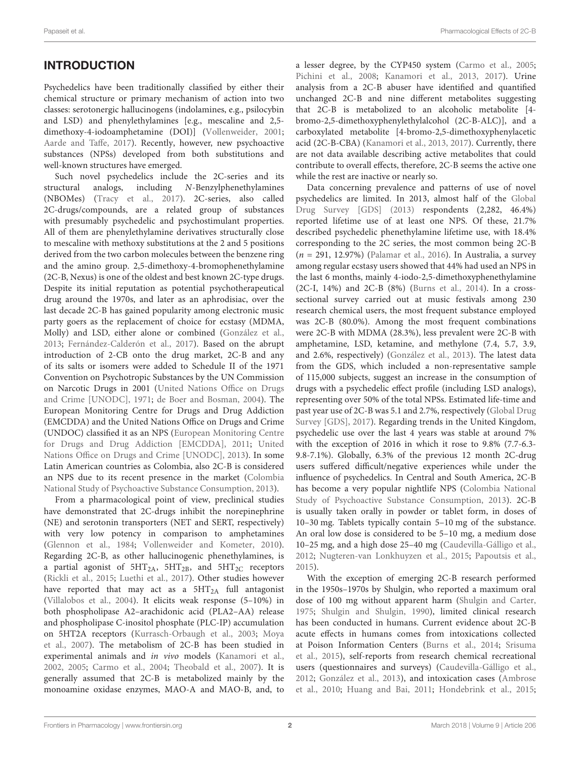# INTRODUCTION

Psychedelics have been traditionally classified by either their chemical structure or primary mechanism of action into two classes: serotonergic hallucinogens (indolamines, e.g., psilocybin and LSD) and phenylethylamines [e.g., mescaline and 2,5 dimethoxy-4-iodoamphetamine (DOI)] [\(Vollenweider,](#page-9-0) [2001;](#page-9-0) [Aarde and Taffe,](#page-8-0) [2017\)](#page-8-0). Recently, however, new psychoactive substances (NPSs) developed from both substitutions and well-known structures have emerged.

Such novel psychedelics include the 2C-series and its structural analogs, including N-Benzylphenethylamines (NBOMes) [\(Tracy et al.,](#page-9-1) [2017\)](#page-9-1). 2C-series, also called 2C-drugs/compounds, are a related group of substances with presumably psychedelic and psychostimulant properties. All of them are phenylethylamine derivatives structurally close to mescaline with methoxy substitutions at the 2 and 5 positions derived from the two carbon molecules between the benzene ring and the amino group. 2,5-dimethoxy-4-bromophenethylamine (2C-B, Nexus) is one of the oldest and best known 2C-type drugs. Despite its initial reputation as potential psychotherapeutical drug around the 1970s, and later as an aphrodisiac, over the last decade 2C-B has gained popularity among electronic music party goers as the replacement of choice for ecstasy (MDMA, Molly) and LSD, either alone or combined [\(González et al.,](#page-8-1) [2013;](#page-8-1) [Fernández-Calderón et al.,](#page-8-2) [2017\)](#page-8-2). Based on the abrupt introduction of 2-CB onto the drug market, 2C-B and any of its salts or isomers were added to Schedule II of the 1971 Convention on Psychotropic Substances by the UN Commission on Narcotic Drugs in 2001 [\(United Nations Office on Drugs](#page-9-2) [and Crime \[UNODC\],](#page-9-2) [1971;](#page-9-2) [de Boer and Bosman,](#page-8-3) [2004\)](#page-8-3). The European Monitoring Centre for Drugs and Drug Addiction (EMCDDA) and the United Nations Office on Drugs and Crime (UNDOC) classified it as an NPS [\(European Monitoring Centre](#page-8-4) [for Drugs and Drug Addiction \[EMCDDA\],](#page-8-4) [2011;](#page-8-4) [United](#page-9-3) [Nations Office on Drugs and Crime \[UNODC\],](#page-9-3) [2013\)](#page-9-3). In some Latin American countries as Colombia, also 2C-B is considered an NPS due to its recent presence in the market [\(Colombia](#page-8-5) [National Study of Psychoactive Substance Consumption,](#page-8-5) [2013\)](#page-8-5).

From a pharmacological point of view, preclinical studies have demonstrated that 2C-drugs inhibit the norepinephrine (NE) and serotonin transporters (NET and SERT, respectively) with very low potency in comparison to amphetamines [\(Glennon et al.,](#page-8-6) [1984;](#page-8-6) [Vollenweider and Kometer,](#page-9-4) [2010\)](#page-9-4). Regarding 2C-B, as other hallucinogenic phenethylamines, is a partial agonist of  $5HT<sub>2A</sub>$ ,  $5HT<sub>2B</sub>$ , and  $5HT<sub>2C</sub>$  receptors [\(Rickli et al.,](#page-9-5) [2015;](#page-9-5) [Luethi et al.,](#page-9-6) [2017\)](#page-9-6). Other studies however have reported that may act as a  $5HT<sub>2A</sub>$  full antagonist [\(Villalobos et al.,](#page-9-7) [2004\)](#page-9-7). It elicits weak response (5–10%) in both phospholipase A2–arachidonic acid (PLA2–AA) release and phospholipase C-inositol phosphate (PLC-IP) accumulation on 5HT2A receptors [\(Kurrasch-Orbaugh et al.,](#page-9-8) [2003;](#page-9-8) [Moya](#page-9-9) [et al.,](#page-9-9) [2007\)](#page-9-9). The metabolism of 2C-B has been studied in experimental animals and in vivo models [\(Kanamori et al.,](#page-9-10) [2002,](#page-9-10) [2005;](#page-9-11) [Carmo et al.,](#page-8-7) [2004;](#page-8-7) [Theobald et al.,](#page-9-12) [2007\)](#page-9-12). It is generally assumed that 2C-B is metabolized mainly by the monoamine oxidase enzymes, MAO-A and MAO-B, and, to

a lesser degree, by the CYP450 system [\(Carmo et al.,](#page-8-8) [2005;](#page-8-8) [Pichini et al.,](#page-9-13) [2008;](#page-9-13) [Kanamori et al.,](#page-9-14) [2013,](#page-9-14) [2017\)](#page-9-15). Urine analysis from a 2C-B abuser have identified and quantified unchanged 2C-B and nine different metabolites suggesting that 2C-B is metabolized to an alcoholic metabolite [4 bromo-2,5-dimethoxyphenylethylalcohol (2C-B-ALC)], and a carboxylated metabolite [4-bromo-2,5-dimethoxyphenylacetic acid (2C-B-CBA) [\(Kanamori et al.,](#page-9-14) [2013,](#page-9-14) [2017\)](#page-9-15). Currently, there are not data available describing active metabolites that could contribute to overall effects, therefore, 2C-B seems the active one while the rest are inactive or nearly so.

Data concerning prevalence and patterns of use of novel psychedelics are limited. In 2013, almost half of the [Global](#page-8-9) [Drug Survey \[GDS\]](#page-8-9) [\(2013\)](#page-8-9) respondents (2,282, 46.4%) reported lifetime use of at least one NPS. Of these, 21.7% described psychedelic phenethylamine lifetime use, with 18.4% corresponding to the 2C series, the most common being 2C-B (n = 291, 12.97%) [\(Palamar et al.,](#page-9-16) [2016\)](#page-9-16). In Australia, a survey among regular ecstasy users showed that 44% had used an NPS in the last 6 months, mainly 4-iodo-2,5-dimethoxyphenethylamine (2C-I, 14%) and 2C-B (8%) [\(Burns et al.,](#page-8-10) [2014\)](#page-8-10). In a crosssectional survey carried out at music festivals among 230 research chemical users, the most frequent substance employed was 2C-B (80.0%). Among the most frequent combinations were 2C-B with MDMA (28.3%), less prevalent were 2C-B with amphetamine, LSD, ketamine, and methylone (7.4, 5.7, 3.9, and 2.6%, respectively) [\(González et al.,](#page-8-1) [2013\)](#page-8-1). The latest data from the GDS, which included a non-representative sample of 115,000 subjects, suggest an increase in the consumption of drugs with a psychedelic effect profile (including LSD analogs), representing over 50% of the total NPSs. Estimated life-time and past year use of 2C-B was 5.1 and 2.7%, respectively [\(Global Drug](#page-8-11) [Survey \[GDS\],](#page-8-11) [2017\)](#page-8-11). Regarding trends in the United Kingdom, psychedelic use over the last 4 years was stable at around 7% with the exception of 2016 in which it rose to 9.8% (7.7-6.3- 9.8-7.1%). Globally, 6.3% of the previous 12 month 2C-drug users suffered difficult/negative experiences while under the influence of psychedelics. In Central and South America, 2C-B has become a very popular nightlife NPS [\(Colombia National](#page-8-5) [Study of Psychoactive Substance Consumption,](#page-8-5) [2013\)](#page-8-5). 2C-B is usually taken orally in powder or tablet form, in doses of 10–30 mg. Tablets typically contain 5–10 mg of the substance. An oral low dose is considered to be 5–10 mg, a medium dose 10–25 mg, and a high dose 25–40 mg [\(Caudevilla-Gálligo et al.,](#page-8-12) [2012;](#page-8-12) [Nugteren-van Lonkhuyzen et al.,](#page-9-17) [2015;](#page-9-17) [Papoutsis et al.,](#page-9-18) [2015\)](#page-9-18).

With the exception of emerging 2C-B research performed in the 1950s–1970s by Shulgin, who reported a maximum oral dose of 100 mg without apparent harm [\(Shulgin and Carter,](#page-9-19) [1975;](#page-9-19) [Shulgin and Shulgin,](#page-9-20) [1990\)](#page-9-20), limited clinical research has been conducted in humans. Current evidence about 2C-B acute effects in humans comes from intoxications collected at Poison Information Centers [\(Burns et al.,](#page-8-10) [2014;](#page-8-10) [Srisuma](#page-9-21) [et al.,](#page-9-21) [2015\)](#page-9-21), self-reports from research chemical recreational users (questionnaires and surveys) [\(Caudevilla-Gálligo et al.,](#page-8-12) [2012;](#page-8-12) [González et al.,](#page-8-1) [2013\)](#page-8-1), and intoxication cases [\(Ambrose](#page-8-13) [et al.,](#page-8-13) [2010;](#page-8-13) [Huang and Bai,](#page-8-14) [2011;](#page-8-14) [Hondebrink et al.,](#page-8-15) [2015;](#page-8-15)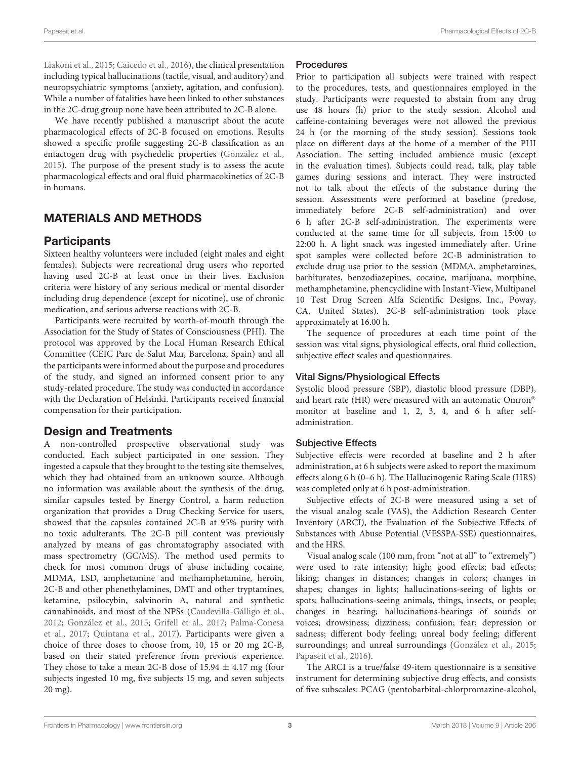[Liakoni et al.,](#page-9-22) [2015;](#page-9-22) [Caicedo et al.,](#page-8-16) [2016\)](#page-8-16), the clinical presentation including typical hallucinations (tactile, visual, and auditory) and neuropsychiatric symptoms (anxiety, agitation, and confusion). While a number of fatalities have been linked to other substances in the 2C-drug group none have been attributed to 2C-B alone.

We have recently published a manuscript about the acute pharmacological effects of 2C-B focused on emotions. Results showed a specific profile suggesting 2C-B classification as an entactogen drug with psychedelic properties [\(González et al.,](#page-8-17) [2015\)](#page-8-17). The purpose of the present study is to assess the acute pharmacological effects and oral fluid pharmacokinetics of 2C-B in humans.

# MATERIALS AND METHODS

## **Participants**

Sixteen healthy volunteers were included (eight males and eight females). Subjects were recreational drug users who reported having used 2C-B at least once in their lives. Exclusion criteria were history of any serious medical or mental disorder including drug dependence (except for nicotine), use of chronic medication, and serious adverse reactions with 2C-B.

Participants were recruited by worth-of-mouth through the Association for the Study of States of Consciousness (PHI). The protocol was approved by the Local Human Research Ethical Committee (CEIC Parc de Salut Mar, Barcelona, Spain) and all the participants were informed about the purpose and procedures of the study, and signed an informed consent prior to any study-related procedure. The study was conducted in accordance with the Declaration of Helsinki. Participants received financial compensation for their participation.

## Design and Treatments

A non-controlled prospective observational study was conducted. Each subject participated in one session. They ingested a capsule that they brought to the testing site themselves, which they had obtained from an unknown source. Although no information was available about the synthesis of the drug, similar capsules tested by Energy Control, a harm reduction organization that provides a Drug Checking Service for users, showed that the capsules contained 2C-B at 95% purity with no toxic adulterants. The 2C-B pill content was previously analyzed by means of gas chromatography associated with mass spectrometry (GC/MS). The method used permits to check for most common drugs of abuse including cocaine, MDMA, LSD, amphetamine and methamphetamine, heroin, 2C-B and other phenethylamines, DMT and other tryptamines, ketamine, psilocybin, salvinorin A, natural and synthetic cannabinoids, and most of the NPSs [\(Caudevilla-Gálligo et al.,](#page-8-12) [2012;](#page-8-12) [González et al.,](#page-8-17) [2015;](#page-8-17) [Grifell et al.,](#page-8-18) [2017;](#page-8-18) [Palma-Conesa](#page-9-23) [et al.,](#page-9-23) [2017;](#page-9-23) [Quintana et al.,](#page-9-24) [2017\)](#page-9-24). Participants were given a choice of three doses to choose from, 10, 15 or 20 mg 2C-B, based on their stated preference from previous experience. They chose to take a mean 2C-B dose of  $15.94 \pm 4.17$  mg (four subjects ingested 10 mg, five subjects 15 mg, and seven subjects 20 mg).

### Procedures

Prior to participation all subjects were trained with respect to the procedures, tests, and questionnaires employed in the study. Participants were requested to abstain from any drug use 48 hours (h) prior to the study session. Alcohol and caffeine-containing beverages were not allowed the previous 24 h (or the morning of the study session). Sessions took place on different days at the home of a member of the PHI Association. The setting included ambience music (except in the evaluation times). Subjects could read, talk, play table games during sessions and interact. They were instructed not to talk about the effects of the substance during the session. Assessments were performed at baseline (predose, immediately before 2C-B self-administration) and over 6 h after 2C-B self-administration. The experiments were conducted at the same time for all subjects, from 15:00 to 22:00 h. A light snack was ingested immediately after. Urine spot samples were collected before 2C-B administration to exclude drug use prior to the session (MDMA, amphetamines, barbiturates, benzodiazepines, cocaine, marijuana, morphine, methamphetamine, phencyclidine with Instant-View, Multipanel 10 Test Drug Screen Alfa Scientific Designs, Inc., Poway, CA, United States). 2C-B self-administration took place approximately at 16.00 h.

The sequence of procedures at each time point of the session was: vital signs, physiological effects, oral fluid collection, subjective effect scales and questionnaires.

## Vital Signs/Physiological Effects

Systolic blood pressure (SBP), diastolic blood pressure (DBP), and heart rate (HR) were measured with an automatic Omron<sup>®</sup> monitor at baseline and 1, 2, 3, 4, and 6 h after selfadministration.

### Subjective Effects

Subjective effects were recorded at baseline and 2 h after administration, at 6 h subjects were asked to report the maximum effects along 6 h (0–6 h). The Hallucinogenic Rating Scale (HRS) was completed only at 6 h post-administration.

Subjective effects of 2C-B were measured using a set of the visual analog scale (VAS), the Addiction Research Center Inventory (ARCI), the Evaluation of the Subjective Effects of Substances with Abuse Potential (VESSPA-SSE) questionnaires, and the HRS.

Visual analog scale (100 mm, from "not at all" to "extremely") were used to rate intensity; high; good effects; bad effects; liking; changes in distances; changes in colors; changes in shapes; changes in lights; hallucinations-seeing of lights or spots; hallucinations-seeing animals, things, insects, or people; changes in hearing; hallucinations-hearings of sounds or voices; drowsiness; dizziness; confusion; fear; depression or sadness; different body feeling; unreal body feeling; different surroundings; and unreal surroundings [\(González et al.,](#page-8-17) [2015;](#page-8-17) [Papaseit et al.,](#page-9-25) [2016\)](#page-9-25).

The ARCI is a true/false 49-item questionnaire is a sensitive instrument for determining subjective drug effects, and consists of five subscales: PCAG (pentobarbital-chlorpromazine-alcohol,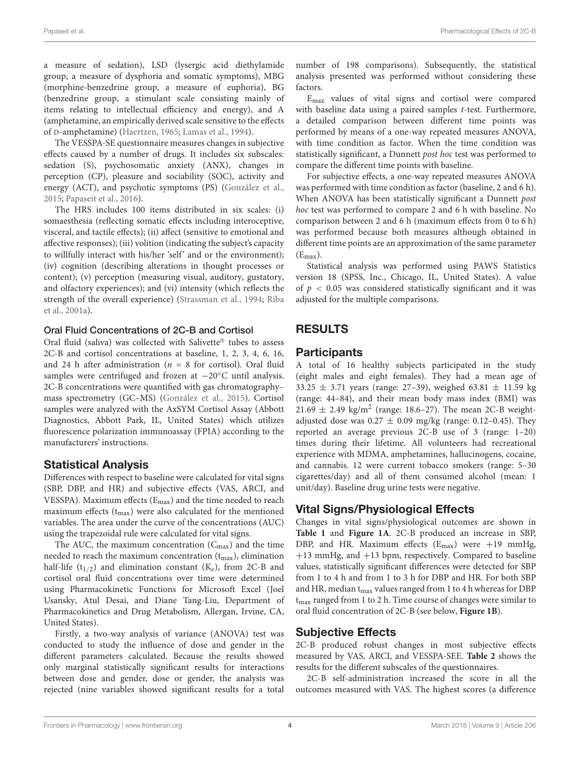a measure of sedation), LSD (lysergic acid diethylamide group, a measure of dysphoria and somatic symptoms), MBG (morphine-benzedrine group, a measure of euphoria), BG (benzedrine group, a stimulant scale consisting mainly of items relating to intellectual efficiency and energy), and A (amphetamine, an empirically derived scale sensitive to the effects of D-amphetamine) [\(Haertzen,](#page-8-19) [1965;](#page-8-19) [Lamas et al.,](#page-9-26) [1994\)](#page-9-26).

The VESSPA-SE questionnaire measures changes in subjective effects caused by a number of drugs. It includes six subscales: sedation (S), psychosomatic anxiety (ANX), changes in perception (CP), pleasure and sociability (SOC), activity and energy (ACT), and psychotic symptoms (PS) [\(González et al.,](#page-8-17) [2015;](#page-8-17) [Papaseit et al.,](#page-9-25) [2016\)](#page-9-25).

The HRS includes 100 items distributed in six scales: (i) somaesthesia (reflecting somatic effects including interoceptive, visceral, and tactile effects); (ii) affect (sensitive to emotional and affective responses); (iii) volition (indicating the subject's capacity to willfully interact with his/her 'self' and or the environment); (iv) cognition (describing alterations in thought processes or content); (v) perception (measuring visual, auditory, gustatory, and olfactory experiences); and (vi) intensity (which reflects the strength of the overall experience) [\(Strassman et al.,](#page-9-27) [1994;](#page-9-27) [Riba](#page-9-28) [et al.,](#page-9-28) [2001a\)](#page-9-28).

### Oral Fluid Concentrations of 2C-B and Cortisol

Oral fluid (saliva) was collected with Salivette® tubes to assess 2C-B and cortisol concentrations at baseline, 1, 2, 3, 4, 6, 16, and 24 h after administration ( $n = 8$  for cortisol). Oral fluid samples were centrifuged and frozen at  $-20$ <sup>°</sup>C until analysis. 2C-B concentrations were quantified with gas chromatography– mass spectrometry (GC–MS) [\(González et al.,](#page-8-17) [2015\)](#page-8-17). Cortisol samples were analyzed with the AxSYM Cortisol Assay (Abbott Diagnostics, Abbott Park, IL, United States) which utilizes fluorescence polarization immunoassay (FPIA) according to the manufacturers' instructions.

## Statistical Analysis

Differences with respect to baseline were calculated for vital signs (SBP, DBP, and HR) and subjective effects (VAS, ARCI, and VESSPA). Maximum effects (Emax) and the time needed to reach maximum effects  $(t_{max})$  were also calculated for the mentioned variables. The area under the curve of the concentrations (AUC) using the trapezoidal rule were calculated for vital signs.

The AUC, the maximum concentration  $(C_{\text{max}})$  and the time needed to reach the maximum concentration  $(t_{\text{max}})$ , elimination half-life (t<sub>1/2</sub>) and elimination constant (K<sub>e</sub>), from 2C-B and cortisol oral fluid concentrations over time were determined using Pharmacokinetic Functions for Microsoft Excel (Joel Usansky, Atul Desai, and Diane Tang-Liu, Department of Pharmacokinetics and Drug Metabolism, Allergan, Irvine, CA, United States).

Firstly, a two-way analysis of variance (ANOVA) test was conducted to study the influence of dose and gender in the different parameters calculated. Because the results showed only marginal statistically significant results for interactions between dose and gender, dose or gender, the analysis was rejected (nine variables showed significant results for a total

number of 198 comparisons). Subsequently, the statistical analysis presented was performed without considering these factors.

Emax values of vital signs and cortisol were compared with baseline data using a paired samples *t*-test. Furthermore, a detailed comparison between different time points was performed by means of a one-way repeated measures ANOVA, with time condition as factor. When the time condition was statistically significant, a Dunnett post hoc test was performed to compare the different time points with baseline.

For subjective effects, a one-way repeated measures ANOVA was performed with time condition as factor (baseline, 2 and 6 h). When ANOVA has been statistically significant a Dunnett post hoc test was performed to compare 2 and 6 h with baseline. No comparison between 2 and 6 h (maximum effects from 0 to 6 h) was performed because both measures although obtained in different time points are an approximation of the same parameter  $(E_{max})$ .

Statistical analysis was performed using PAWS Statistics version 18 (SPSS, Inc., Chicago, IL, United States). A value of  $p < 0.05$  was considered statistically significant and it was adjusted for the multiple comparisons.

# RESULTS

## **Participants**

A total of 16 healthy subjects participated in the study (eight males and eight females). They had a mean age of 33.25  $\pm$  3.71 years (range: 27-39), weighed 63.81  $\pm$  11.59 kg (range: 44–84), and their mean body mass index (BMI) was 21.69  $\pm$  2.49 kg/m<sup>2</sup> (range: 18.6–27). The mean 2C-B weightadjusted dose was  $0.27 \pm 0.09$  mg/kg (range: 0.12–0.45). They reported an average previous 2C-B use of 3 (range: 1–20) times during their lifetime. All volunteers had recreational experience with MDMA, amphetamines, hallucinogens, cocaine, and cannabis. 12 were current tobacco smokers (range: 5–30 cigarettes/day) and all of them consumed alcohol (mean: 1 unit/day). Baseline drug urine tests were negative.

# Vital Signs/Physiological Effects

Changes in vital signs/physiological outcomes are shown in **[Table 1](#page-4-0)** and **[Figure 1A](#page-4-1)**. 2C-B produced an increase in SBP, DBP, and HR. Maximum effects  $(E_{\text{max}})$  were +19 mmHg, +13 mmHg, and +13 bpm, respectively. Compared to baseline values, statistically significant differences were detected for SBP from 1 to 4 h and from 1 to 3 h for DBP and HR. For both SBP and HR, median  $t_{\text{max}}$  values ranged from 1 to 4 h whereas for DBP t<sub>max</sub> ranged from 1 to 2 h. Time course of changes were similar to oral fluid concentration of 2C-B (see below, **[Figure 1B](#page-4-1)**).

## Subjective Effects

2C-B produced robust changes in most subjective effects measured by VAS, ARCI, and VESSPA-SEE. **[Table 2](#page-5-0)** shows the results for the different subscales of the questionnaires.

2C-B self-administration increased the score in all the outcomes measured with VAS. The highest scores (a difference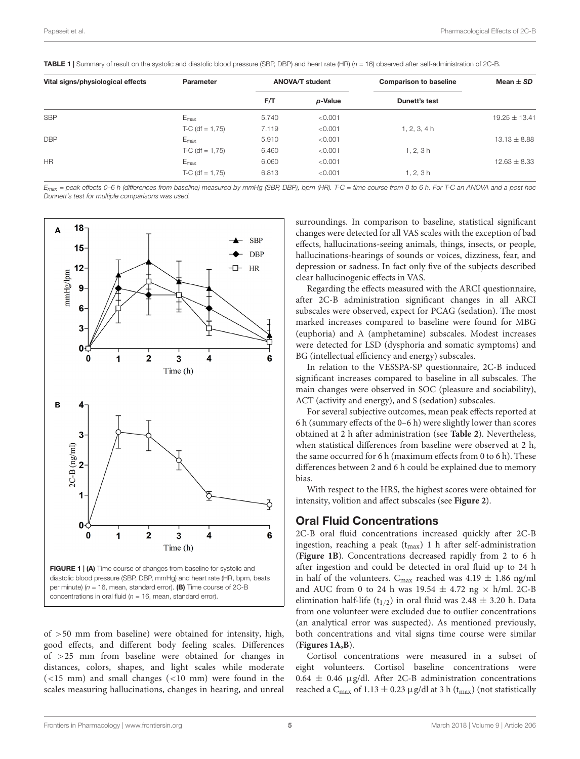<span id="page-4-0"></span>**TABLE 1** | Summary of result on the systolic and diastolic blood pressure (SBP, DBP) and heart rate  $(HR)$   $(n = 16)$  observed after self-administration of 2C-B.

| Vital signs/physiological effects | Parameter         | <b>ANOVA/T student</b> |         | <b>Comparison to baseline</b> | Mean $\pm$ SD     |
|-----------------------------------|-------------------|------------------------|---------|-------------------------------|-------------------|
|                                   |                   | F/T                    | p-Value | Dunett's test                 |                   |
| <b>SBP</b>                        | $E_{\rm max}$     | 5.740                  | < 0.001 |                               | $19.25 \pm 13.41$ |
|                                   | $T-C$ (df = 1,75) | 7.119                  | < 0.001 | 1, 2, 3, 4h                   |                   |
| <b>DBP</b>                        | $E_{\text{max}}$  | 5.910                  | < 0.001 |                               | $13.13 \pm 8.88$  |
|                                   | $T-C$ (df = 1,75) | 6.460                  | < 0.001 | 1, 2, 3h                      |                   |
| <b>HR</b>                         | $E_{\text{max}}$  | 6.060                  | < 0.001 |                               | $12.63 \pm 8.33$  |
|                                   | $T-C$ (df = 1,75) | 6.813                  | < 0.001 | 1.2.3h                        |                   |

Emax = peak effects 0–6 h (differences from baseline) measured by mmHg (SBP, DBP), bpm (HR). T-C = time course from 0 to 6 h. For T-C an ANOVA and a post hoc Dunnett's test for multiple comparisons was used.



<span id="page-4-1"></span>of >50 mm from baseline) were obtained for intensity, high, good effects, and different body feeling scales. Differences of >25 mm from baseline were obtained for changes in distances, colors, shapes, and light scales while moderate  $(<15$  mm) and small changes  $(<10$  mm) were found in the scales measuring hallucinations, changes in hearing, and unreal

surroundings. In comparison to baseline, statistical significant changes were detected for all VAS scales with the exception of bad effects, hallucinations-seeing animals, things, insects, or people, hallucinations-hearings of sounds or voices, dizziness, fear, and depression or sadness. In fact only five of the subjects described clear hallucinogenic effects in VAS.

Regarding the effects measured with the ARCI questionnaire, after 2C-B administration significant changes in all ARCI subscales were observed, expect for PCAG (sedation). The most marked increases compared to baseline were found for MBG (euphoria) and A (amphetamine) subscales. Modest increases were detected for LSD (dysphoria and somatic symptoms) and BG (intellectual efficiency and energy) subscales.

In relation to the VESSPA-SP questionnaire, 2C-B induced significant increases compared to baseline in all subscales. The main changes were observed in SOC (pleasure and sociability), ACT (activity and energy), and S (sedation) subscales.

For several subjective outcomes, mean peak effects reported at 6 h (summary effects of the 0–6 h) were slightly lower than scores obtained at 2 h after administration (see **[Table 2](#page-5-0)**). Nevertheless, when statistical differences from baseline were observed at 2 h, the same occurred for 6 h (maximum effects from 0 to 6 h). These differences between 2 and 6 h could be explained due to memory bias.

With respect to the HRS, the highest scores were obtained for intensity, volition and affect subscales (see **[Figure 2](#page-6-0)**).

## Oral Fluid Concentrations

2C-B oral fluid concentrations increased quickly after 2C-B ingestion, reaching a peak  $(t_{max})$  1 h after self-administration (**[Figure 1B](#page-4-1)**). Concentrations decreased rapidly from 2 to 6 h after ingestion and could be detected in oral fluid up to 24 h in half of the volunteers.  $C_{\text{max}}$  reached was 4.19  $\pm$  1.86 ng/ml and AUC from 0 to 24 h was  $19.54 \pm 4.72$  ng  $\times$  h/ml. 2C-B elimination half-life (t<sub>1/2</sub>) in oral fluid was 2.48  $\pm$  3.20 h. Data from one volunteer were excluded due to outlier concentrations (an analytical error was suspected). As mentioned previously, both concentrations and vital signs time course were similar (**[Figures 1A,B](#page-4-1)**).

Cortisol concentrations were measured in a subset of eight volunteers. Cortisol baseline concentrations were  $0.64 \pm 0.46$  µg/dl. After 2C-B administration concentrations reached a C<sub>max</sub> of 1.13  $\pm$  0.23 µg/dl at 3 h (t<sub>max</sub>) (not statistically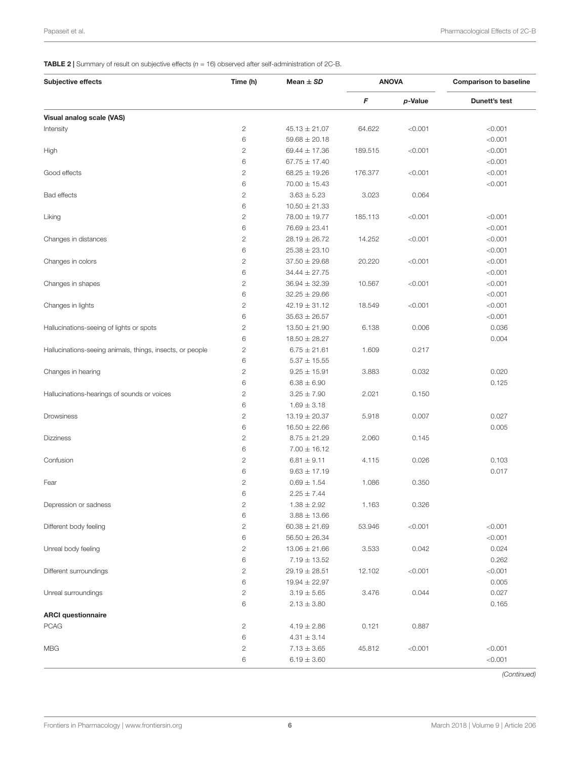<span id="page-5-0"></span>**TABLE 2** | Summary of result on subjective effects  $(n = 16)$  observed after self-administration of 2C-B.

| <b>Subjective effects</b>                                 | Time (h)       | Mean $\pm$ SD     | <b>ANOVA</b>            |         | <b>Comparison to baseline</b> |
|-----------------------------------------------------------|----------------|-------------------|-------------------------|---------|-------------------------------|
|                                                           |                |                   | $\boldsymbol{\digamma}$ | p-Value | Dunett's test                 |
| Visual analog scale (VAS)                                 |                |                   |                         |         |                               |
| Intensity                                                 | $\mathbf{2}$   | $45.13 \pm 21.07$ | 64.622                  | < 0.001 | < 0.001                       |
|                                                           | 6              | $59.68 \pm 20.18$ |                         |         | < 0.001                       |
| High                                                      | $\overline{c}$ | 69.44 $\pm$ 17.36 | 189.515                 | < 0.001 | < 0.001                       |
|                                                           | 6              | $67.75 \pm 17.40$ |                         |         | < 0.001                       |
| Good effects                                              | $\overline{c}$ | $68.25 \pm 19.26$ | 176.377                 | < 0.001 | < 0.001                       |
|                                                           | 6              | $70.00 \pm 15.43$ |                         |         | < 0.001                       |
| Bad effects                                               | $\mathbf{2}$   | $3.63 \pm 5.23$   | 3.023                   | 0.064   |                               |
|                                                           | 6              | $10.50 \pm 21.33$ |                         |         |                               |
| Liking                                                    | $\mathbf{2}$   | 78.00 ± 19.77     | 185.113                 | < 0.001 | < 0.001                       |
|                                                           | 6              | $76.69 \pm 23.41$ |                         |         | < 0.001                       |
| Changes in distances                                      | $\mathbf{2}$   | $28.19 \pm 26.72$ | 14.252                  | < 0.001 | < 0.001                       |
|                                                           | 6              | $25.38 \pm 23.10$ |                         |         | < 0.001                       |
| Changes in colors                                         | $\mathbf{2}$   | $37.50 \pm 29.68$ | 20.220                  | < 0.001 | < 0.001                       |
|                                                           | 6              | $34.44 \pm 27.75$ |                         |         | < 0.001                       |
| Changes in shapes                                         | $\mathbf{2}$   | $36.94 \pm 32.39$ | 10.567                  | < 0.001 | < 0.001                       |
|                                                           | 6              | $32.25 \pm 29.66$ |                         |         | < 0.001                       |
| Changes in lights                                         | $\sqrt{2}$     | $42.19 \pm 31.12$ | 18.549                  | < 0.001 | < 0.001                       |
|                                                           | 6              | $35.63 \pm 26.57$ |                         |         | < 0.001                       |
| Hallucinations-seeing of lights or spots                  | $\mathbf{2}$   | $13.50 \pm 21.90$ | 6.138                   | 0.006   | 0.036                         |
|                                                           | 6              | $18.50 \pm 28.27$ |                         |         | 0.004                         |
| Hallucinations-seeing animals, things, insects, or people | $\mathbf{2}$   | $6.75 \pm 21.61$  | 1.609                   | 0.217   |                               |
|                                                           | 6              | $5.37 \pm 15.55$  |                         |         |                               |
| Changes in hearing                                        | $\overline{c}$ | $9.25 \pm 15.91$  | 3.883                   | 0.032   | 0.020                         |
|                                                           | 6              | $6.38 \pm 6.90$   |                         |         | 0.125                         |
| Hallucinations-hearings of sounds or voices               | $\sqrt{2}$     | $3.25 \pm 7.90$   | 2.021                   | 0.150   |                               |
|                                                           | 6              | $1.69 \pm 3.18$   |                         |         |                               |
| Drowsiness                                                | $\overline{c}$ | $13.19 \pm 20.37$ | 5.918                   | 0.007   | 0.027                         |
|                                                           | 6              | $16.50 \pm 22.66$ |                         |         | 0.005                         |
| <b>Dizziness</b>                                          | $\mathbf{2}$   | $8.75 \pm 21.29$  | 2.060                   | 0.145   |                               |
|                                                           | 6              | $7.00 \pm 16.12$  |                         |         |                               |
| Confusion                                                 | $\overline{c}$ | $6.81 \pm 9.11$   | 4.115                   | 0.026   | 0.103                         |
|                                                           | 6              | $9.63 \pm 17.19$  |                         |         | 0.017                         |
| Fear                                                      | 2              | $0.69 \pm 1.54$   | 1.086                   | 0.350   |                               |
|                                                           | 6              | $2.25 \pm 7.44$   |                         |         |                               |
| Depression or sadness                                     | $\mathbf{2}$   | $1.38 \pm 2.92$   | 1.163                   | 0.326   |                               |
|                                                           | 6              | $3.88 \pm 13.66$  |                         |         |                               |
| Different body feeling                                    | $\mathbf{2}$   | $60.38 \pm 21.69$ | 53.946                  | < 0.001 | < 0.001                       |
|                                                           | 6              | $56.50 \pm 26.34$ |                         |         | < 0.001                       |
| Unreal body feeling                                       | $\overline{c}$ | $13.06 \pm 21.66$ | 3.533                   | 0.042   | 0.024                         |
|                                                           | 6              | $7.19 \pm 13.52$  |                         |         | 0.262                         |
| Different surroundings                                    | 2              | $29.19 \pm 28.51$ | 12.102                  | < 0.001 | < 0.001                       |
|                                                           | 6              | $19.94 \pm 22.97$ |                         |         | 0.005                         |
| Unreal surroundings                                       | $\mathbf{2}$   | $3.19 \pm 5.65$   | 3.476                   | 0.044   | 0.027                         |
|                                                           | 6              | $2.13 \pm 3.80$   |                         |         | 0.165                         |
| <b>ARCI</b> questionnaire                                 |                |                   |                         |         |                               |
| <b>PCAG</b>                                               | 2              | $4.19 \pm 2.86$   | 0.121                   | 0.887   |                               |
|                                                           | 6              | $4.31 \pm 3.14$   |                         |         |                               |
| <b>MBG</b>                                                | 2              | $7.13 \pm 3.65$   | 45.812                  | < 0.001 | < 0.001                       |
|                                                           | 6              | $6.19 \pm 3.60$   |                         |         | < 0.001                       |

(Continued)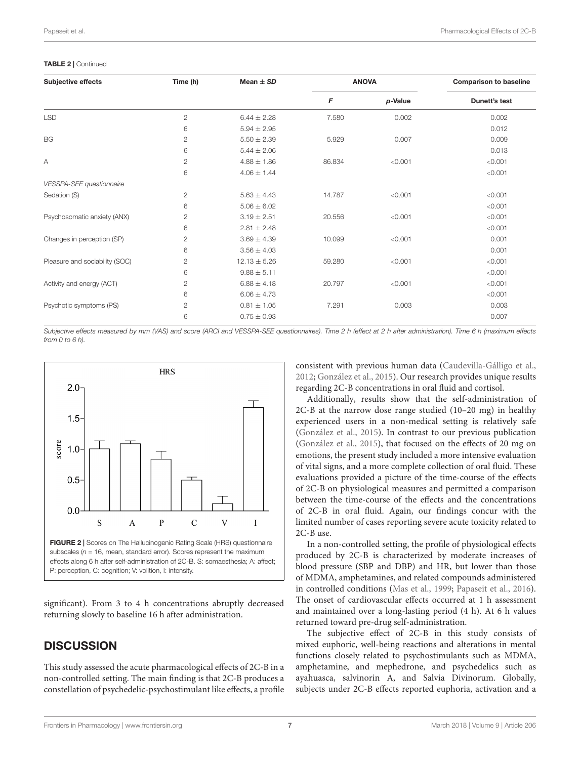#### TABLE 2 | Continued

| <b>Subjective effects</b>      | Time (h)       | Mean $\pm$ SD    | <b>ANOVA</b> |            | <b>Comparison to baseline</b> |  |
|--------------------------------|----------------|------------------|--------------|------------|-------------------------------|--|
|                                |                |                  | F            | $p$ -Value | Dunett's test                 |  |
| <b>LSD</b>                     | $\overline{c}$ | $6.44 \pm 2.28$  | 7.580        | 0.002      | 0.002                         |  |
|                                | 6              | $5.94 \pm 2.95$  |              |            | 0.012                         |  |
| <b>BG</b>                      | $\overline{c}$ | $5.50 \pm 2.39$  | 5.929        | 0.007      | 0.009                         |  |
|                                | 6              | $5.44 \pm 2.06$  |              |            | 0.013                         |  |
| Α                              | $\overline{2}$ | $4.88 \pm 1.86$  | 86.834       | < 0.001    | < 0.001                       |  |
|                                | 6              | $4.06 \pm 1.44$  |              |            | < 0.001                       |  |
| VESSPA-SEE questionnaire       |                |                  |              |            |                               |  |
| Sedation (S)                   | $\overline{2}$ | $5.63 \pm 4.43$  | 14.787       | < 0.001    | < 0.001                       |  |
|                                | 6              | $5.06 \pm 6.02$  |              |            | < 0.001                       |  |
| Psychosomatic anxiety (ANX)    | $\overline{2}$ | $3.19 \pm 2.51$  | 20.556       | < 0.001    | < 0.001                       |  |
|                                | 6              | $2.81 \pm 2.48$  |              |            | < 0.001                       |  |
| Changes in perception (SP)     | 2              | $3.69 \pm 4.39$  | 10.099       | < 0.001    | 0.001                         |  |
|                                | 6              | $3.56 \pm 4.03$  |              |            | 0.001                         |  |
| Pleasure and sociability (SOC) | $\mathbf{2}$   | $12.13 \pm 5.26$ | 59.280       | < 0.001    | < 0.001                       |  |
|                                | 6              | $9.88 \pm 5.11$  |              |            | < 0.001                       |  |
| Activity and energy (ACT)      | 2              | $6.88 \pm 4.18$  | 20.797       | < 0.001    | < 0.001                       |  |
|                                | 6              | $6.06 \pm 4.73$  |              |            | < 0.001                       |  |
| Psychotic symptoms (PS)        | 2              | $0.81 \pm 1.05$  | 7.291        | 0.003      | 0.003                         |  |
|                                | 6              | $0.75 \pm 0.93$  |              |            | 0.007                         |  |

Subjective effects measured by mm (VAS) and score (ARCI and VESSPA-SEE questionnaires). Time 2 h (effect at 2 h after administration). Time 6 h (maximum effects from  $(0, \pi, \pi, \pi)$ 



<span id="page-6-0"></span>significant). From 3 to 4 h concentrations abruptly decreased returning slowly to baseline 16 h after administration.

# **DISCUSSION**

This study assessed the acute pharmacological effects of 2C-B in a non-controlled setting. The main finding is that 2C-B produces a constellation of psychedelic-psychostimulant like effects, a profile consistent with previous human data [\(Caudevilla-Gálligo et al.,](#page-8-12) [2012;](#page-8-12) [González et al.,](#page-8-17) [2015\)](#page-8-17). Our research provides unique results regarding 2C-B concentrations in oral fluid and cortisol.

Additionally, results show that the self-administration of 2C-B at the narrow dose range studied (10–20 mg) in healthy experienced users in a non-medical setting is relatively safe [\(González et al.,](#page-8-17) [2015\)](#page-8-17). In contrast to our previous publication [\(González et al.,](#page-8-17) [2015\)](#page-8-17), that focused on the effects of 20 mg on emotions, the present study included a more intensive evaluation of vital signs, and a more complete collection of oral fluid. These evaluations provided a picture of the time-course of the effects of 2C-B on physiological measures and permitted a comparison between the time-course of the effects and the concentrations of 2C-B in oral fluid. Again, our findings concur with the limited number of cases reporting severe acute toxicity related to 2C-B use.

In a non-controlled setting, the profile of physiological effects produced by 2C-B is characterized by moderate increases of blood pressure (SBP and DBP) and HR, but lower than those of MDMA, amphetamines, and related compounds administered in controlled conditions [\(Mas et al.,](#page-9-29) [1999;](#page-9-29) [Papaseit et al.,](#page-9-25) [2016\)](#page-9-25). The onset of cardiovascular effects occurred at 1 h assessment and maintained over a long-lasting period (4 h). At 6 h values returned toward pre-drug self-administration.

The subjective effect of 2C-B in this study consists of mixed euphoric, well-being reactions and alterations in mental functions closely related to psychostimulants such as MDMA, amphetamine, and mephedrone, and psychedelics such as ayahuasca, salvinorin A, and Salvia Divinorum. Globally, subjects under 2C-B effects reported euphoria, activation and a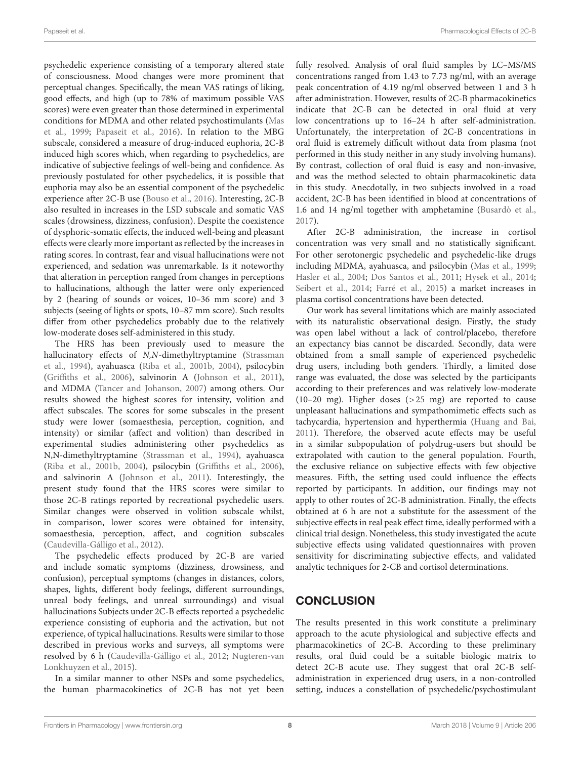psychedelic experience consisting of a temporary altered state of consciousness. Mood changes were more prominent that perceptual changes. Specifically, the mean VAS ratings of liking, good effects, and high (up to 78% of maximum possible VAS scores) were even greater than those determined in experimental conditions for MDMA and other related psychostimulants [\(Mas](#page-9-29) [et al.,](#page-9-29) [1999;](#page-9-29) [Papaseit et al.,](#page-9-25) [2016\)](#page-9-25). In relation to the MBG subscale, considered a measure of drug-induced euphoria, 2C-B induced high scores which, when regarding to psychedelics, are indicative of subjective feelings of well-being and confidence. As previously postulated for other psychedelics, it is possible that euphoria may also be an essential component of the psychedelic experience after 2C-B use [\(Bouso et al.,](#page-8-20) [2016\)](#page-8-20). Interesting, 2C-B also resulted in increases in the LSD subscale and somatic VAS scales (drowsiness, dizziness, confusion). Despite the coexistence of dysphoric-somatic effects, the induced well-being and pleasant effects were clearly more important as reflected by the increases in rating scores. In contrast, fear and visual hallucinations were not experienced, and sedation was unremarkable. Is it noteworthy that alteration in perception ranged from changes in perceptions to hallucinations, although the latter were only experienced by 2 (hearing of sounds or voices, 10–36 mm score) and 3 subjects (seeing of lights or spots, 10–87 mm score). Such results differ from other psychedelics probably due to the relatively low-moderate doses self-administered in this study.

The HRS has been previously used to measure the hallucinatory effects of N,N-dimethyltryptamine [\(Strassman](#page-9-27) [et al.,](#page-9-27) [1994\)](#page-9-27), ayahuasca [\(Riba et al.,](#page-9-30) [2001b,](#page-9-30) [2004\)](#page-9-31), psilocybin [\(Griffiths et al.,](#page-8-21) [2006\)](#page-8-21), salvinorin A [\(Johnson et al.,](#page-8-22) [2011\)](#page-8-22), and MDMA [\(Tancer and Johanson,](#page-9-32) [2007\)](#page-9-32) among others. Our results showed the highest scores for intensity, volition and affect subscales. The scores for some subscales in the present study were lower (somaesthesia, perception, cognition, and intensity) or similar (affect and volition) than described in experimental studies administering other psychedelics as N,N-dimethyltryptamine [\(Strassman et al.,](#page-9-27) [1994\)](#page-9-27), ayahuasca [\(Riba et al.,](#page-9-30) [2001b,](#page-9-30) [2004\)](#page-9-31), psilocybin [\(Griffiths et al.,](#page-8-21) [2006\)](#page-8-21), and salvinorin A [\(Johnson et al.,](#page-8-22) [2011\)](#page-8-22). Interestingly, the present study found that the HRS scores were similar to those 2C-B ratings reported by recreational psychedelic users. Similar changes were observed in volition subscale whilst, in comparison, lower scores were obtained for intensity, somaesthesia, perception, affect, and cognition subscales [\(Caudevilla-Gálligo et al.,](#page-8-12) [2012\)](#page-8-12).

The psychedelic effects produced by 2C-B are varied and include somatic symptoms (dizziness, drowsiness, and confusion), perceptual symptoms (changes in distances, colors, shapes, lights, different body feelings, different surroundings, unreal body feelings, and unreal surroundings) and visual hallucinations Subjects under 2C-B effects reported a psychedelic experience consisting of euphoria and the activation, but not experience, of typical hallucinations. Results were similar to those described in previous works and surveys, all symptoms were resolved by 6 h [\(Caudevilla-Gálligo et al.,](#page-8-12) [2012;](#page-8-12) [Nugteren-van](#page-9-17) [Lonkhuyzen et al.,](#page-9-17) [2015\)](#page-9-17).

In a similar manner to other NSPs and some psychedelics, the human pharmacokinetics of 2C-B has not yet been fully resolved. Analysis of oral fluid samples by LC–MS/MS concentrations ranged from 1.43 to 7.73 ng/ml, with an average peak concentration of 4.19 ng/ml observed between 1 and 3 h after administration. However, results of 2C-B pharmacokinetics indicate that 2C-B can be detected in oral fluid at very low concentrations up to 16–24 h after self-administration. Unfortunately, the interpretation of 2C-B concentrations in oral fluid is extremely difficult without data from plasma (not performed in this study neither in any study involving humans). By contrast, collection of oral fluid is easy and non-invasive, and was the method selected to obtain pharmacokinetic data in this study. Anecdotally, in two subjects involved in a road accident, 2C-B has been identified in blood at concentrations of 1.6 and 14 ng/ml together with amphetamine [\(Busardò et al.,](#page-8-23) [2017\)](#page-8-23).

After 2C-B administration, the increase in cortisol concentration was very small and no statistically significant. For other serotonergic psychedelic and psychedelic-like drugs including MDMA, ayahuasca, and psilocybin [\(Mas et al.,](#page-9-29) [1999;](#page-9-29) [Hasler et al.,](#page-8-24) [2004;](#page-8-24) [Dos Santos et al.,](#page-8-25) [2011;](#page-8-25) [Hysek et al.,](#page-8-26) [2014;](#page-8-26) [Seibert et al.,](#page-9-33) [2014;](#page-9-33) [Farré et al.,](#page-8-27) [2015\)](#page-8-27) a market increases in plasma cortisol concentrations have been detected.

Our work has several limitations which are mainly associated with its naturalistic observational design. Firstly, the study was open label without a lack of control/placebo, therefore an expectancy bias cannot be discarded. Secondly, data were obtained from a small sample of experienced psychedelic drug users, including both genders. Thirdly, a limited dose range was evaluated, the dose was selected by the participants according to their preferences and was relatively low-moderate (10–20 mg). Higher doses (>25 mg) are reported to cause unpleasant hallucinations and sympathomimetic effects such as tachycardia, hypertension and hyperthermia [\(Huang and Bai,](#page-8-14) [2011\)](#page-8-14). Therefore, the observed acute effects may be useful in a similar subpopulation of polydrug-users but should be extrapolated with caution to the general population. Fourth, the exclusive reliance on subjective effects with few objective measures. Fifth, the setting used could influence the effects reported by participants. In addition, our findings may not apply to other routes of 2C-B administration. Finally, the effects obtained at 6 h are not a substitute for the assessment of the subjective effects in real peak effect time, ideally performed with a clinical trial design. Nonetheless, this study investigated the acute subjective effects using validated questionnaires with proven sensitivity for discriminating subjective effects, and validated analytic techniques for 2-CB and cortisol determinations.

# **CONCLUSION**

The results presented in this work constitute a preliminary approach to the acute physiological and subjective effects and pharmacokinetics of 2C-B. According to these preliminary results, oral fluid could be a suitable biologic matrix to detect 2C-B acute use. They suggest that oral 2C-B selfadministration in experienced drug users, in a non-controlled setting, induces a constellation of psychedelic/psychostimulant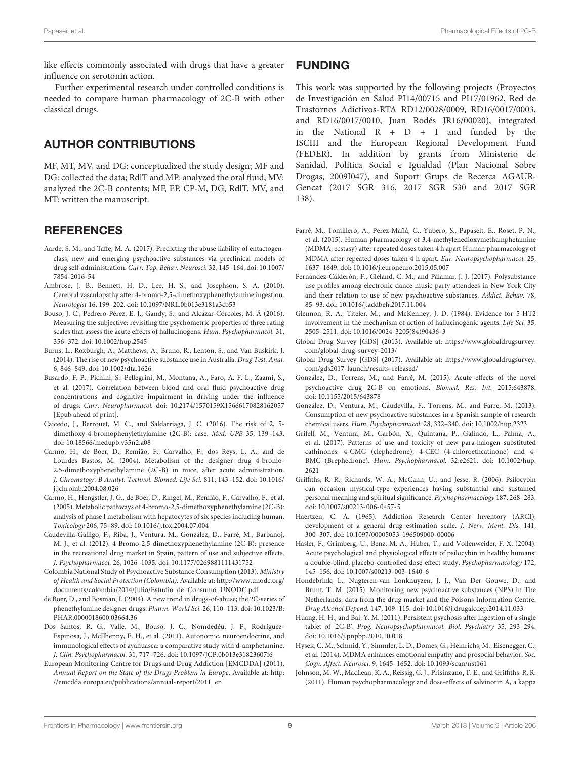like effects commonly associated with drugs that have a greater influence on serotonin action.

Further experimental research under controlled conditions is needed to compare human pharmacology of 2C-B with other classical drugs.

# AUTHOR CONTRIBUTIONS

MF, MT, MV, and DG: conceptualized the study design; MF and DG: collected the data; RdlT and MP: analyzed the oral fluid; MV: analyzed the 2C-B contents; MF, EP, CP-M, DG, RdlT, MV, and MT: written the manuscript.

## **REFERENCES**

- <span id="page-8-0"></span>Aarde, S. M., and Taffe, M. A. (2017). Predicting the abuse liability of entactogenclass, new and emerging psychoactive substances via preclinical models of drug self-administration. Curr. Top. Behav. Neurosci. 32, 145–164. [doi: 10.1007/](https://doi.org/10.1007/7854-2016-54) [7854-2016-54](https://doi.org/10.1007/7854-2016-54)
- <span id="page-8-13"></span>Ambrose, J. B., Bennett, H. D., Lee, H. S., and Josephson, S. A. (2010). Cerebral vasculopathy after 4-bromo-2,5-dimethoxyphenethylamine ingestion. Neurologist 16, 199–202. [doi: 10.1097/NRL.0b013e3181a3cb53](https://doi.org/10.1097/NRL.0b013e3181a3cb53)
- <span id="page-8-20"></span>Bouso, J. C., Pedrero-Pérez, E. J., Gandy, S., and Alcázar-Córcoles, M. Á (2016). Measuring the subjective: revisiting the psychometric properties of three rating scales that assess the acute effects of hallucinogens. Hum. Psychopharmacol. 31, 356–372. [doi: 10.1002/hup.2545](https://doi.org/10.1002/hup.2545)
- <span id="page-8-10"></span>Burns, L., Roxburgh, A., Matthews, A., Bruno, R., Lenton, S., and Van Buskirk, J. (2014). The rise of new psychoactive substance use in Australia. Drug Test. Anal. 6, 846–849. [doi: 10.1002/dta.1626](https://doi.org/10.1002/dta.1626)
- <span id="page-8-23"></span>Busardò, F. P., Pichini, S., Pellegrini, M., Montana, A., Faro, A. F. L., Zaami, S., et al. (2017). Correlation between blood and oral fluid psychoactive drug concentrations and cognitive impairment in driving under the influence of drugs. Curr. Neuropharmacol. [doi: 10.2174/1570159X15666170828162057](https://doi.org/10.2174/1570159X15666170828162057) [Epub ahead of print].
- <span id="page-8-16"></span>Caicedo, J., Berrouet, M. C., and Saldarriaga, J. C. (2016). The risk of 2, 5 dimethoxy-4-bromophenylethylamine (2C-B): case. Med. UPB 35, 139–143. [doi: 10.18566/medupb.v35n2.a08](https://doi.org/10.18566/medupb.v35n2.a08)
- <span id="page-8-7"></span>Carmo, H., de Boer, D., Remião, F., Carvalho, F., dos Reys, L. A., and de Lourdes Bastos, M. (2004). Metabolism of the designer drug 4-bromo-2,5-dimethoxyphenethylamine (2C-B) in mice, after acute administration. J. Chromatogr. B Analyt. Technol. Biomed. Life Sci. 811, 143–152. [doi: 10.1016/](https://doi.org/10.1016/j.jchromb.2004.08.026) [j.jchromb.2004.08.026](https://doi.org/10.1016/j.jchromb.2004.08.026)
- <span id="page-8-8"></span>Carmo, H., Hengstler, J. G., de Boer, D., Ringel, M., Remião, F., Carvalho, F., et al. (2005). Metabolic pathways of 4-bromo-2,5-dimethoxyphenethylamine (2C-B): analysis of phase I metabolism with hepatocytes of six species including human. Toxicology 206, 75–89. [doi: 10.1016/j.tox.2004.07.004](https://doi.org/10.1016/j.tox.2004.07.004)
- <span id="page-8-12"></span>Caudevilla-Gálligo, F., Riba, J., Ventura, M., González, D., Farré, M., Barbanoj, M. J., et al. (2012). 4-Bromo-2,5-dimethoxyphenethylamine (2C-B): presence in the recreational drug market in Spain, pattern of use and subjective effects. J. Psychopharmacol. 26, 1026–1035. [doi: 10.1177/0269881111431752](https://doi.org/10.1177/0269881111431752)
- <span id="page-8-5"></span>Colombia National Study of Psychoactive Substance Consumption (2013). Ministry of Health and Social Protection (Colombia). Available at: [http://www.unodc.org/](http://www.unodc.org/documents/colombia/2014/Julio/Estudio_de_Consumo_UNODC.pdf) [documents/colombia/2014/Julio/Estudio\\_de\\_Consumo\\_UNODC.pdf](http://www.unodc.org/documents/colombia/2014/Julio/Estudio_de_Consumo_UNODC.pdf)
- <span id="page-8-3"></span>de Boer, D., and Bosman, I. (2004). A new trend in drugs-of-abuse; the 2C-series of phenethylamine designer drugs. Pharm. World Sci. 26, 110–113. [doi: 10.1023/B:](https://doi.org/10.1023/B:PHAR.0000018600.03664.36) [PHAR.0000018600.03664.36](https://doi.org/10.1023/B:PHAR.0000018600.03664.36)
- <span id="page-8-25"></span>Dos Santos, R. G., Valle, M., Bouso, J. C., Nomdedéu, J. F., Rodríguez-Espinosa, J., McIlhenny, E. H., et al. (2011). Autonomic, neuroendocrine, and immunological effects of ayahuasca: a comparative study with d-amphetamine. J. Clin. Psychopharmacol. 31, 717–726. [doi: 10.1097/JCP.0b013e31823607f6](https://doi.org/10.1097/JCP.0b013e31823607f6)
- <span id="page-8-4"></span>European Monitoring Centre for Drugs and Drug Addiction [EMCDDA] (2011). Annual Report on the State of the Drugs Problem in Europe. Available at: [http:](http://emcdda.europa.eu/publications/annual-report/2011_en) [//emcdda.europa.eu/publications/annual-report/2011\\_en](http://emcdda.europa.eu/publications/annual-report/2011_en)

## FUNDING

This work was supported by the following projects (Proyectos de Investigación en Salud PI14/00715 and PI17/01962, Red de Trastornos Adictivos-RTA RD12/0028/0009, RD16/0017/0003, and RD16/0017/0010, Juan Rodés JR16/00020), integrated in the National  $R + D + I$  and funded by the ISCIII and the European Regional Development Fund (FEDER). In addition by grants from Ministerio de Sanidad, Política Social e Igualdad (Plan Nacional Sobre Drogas, 2009I047), and Suport Grups de Recerca AGAUR-Gencat (2017 SGR 316, 2017 SGR 530 and 2017 SGR 138).

- <span id="page-8-27"></span>Farré, M., Tomillero, A., Pérez-Mañá, C., Yubero, S., Papaseit, E., Roset, P. N., et al. (2015). Human pharmacology of 3,4-methylenedioxymethamphetamine (MDMA, ecstasy) after repeated doses taken 4 h apart Human pharmacology of MDMA after repeated doses taken 4 h apart. Eur. Neuropsychopharmacol. 25, 1637–1649. [doi: 10.1016/j.euroneuro.2015.05.007](https://doi.org/10.1016/j.euroneuro.2015.05.007)
- <span id="page-8-2"></span>Fernández-Calderón, F., Cleland, C. M., and Palamar, J. J. (2017). Polysubstance use profiles among electronic dance music party attendees in New York City and their relation to use of new psychoactive substances. Addict. Behav. 78, 85–93. [doi: 10.1016/j.addbeh.2017.11.004](https://doi.org/10.1016/j.addbeh.2017.11.004)
- <span id="page-8-6"></span>Glennon, R. A., Titeler, M., and McKenney, J. D. (1984). Evidence for 5-HT2 involvement in the mechanism of action of hallucinogenic agents. Life Sci. 35, 2505–2511. [doi: 10.1016/0024-3205\(84\)90436-3](https://doi.org/10.1016/0024-3205(84)90436-3)
- <span id="page-8-9"></span>Global Drug Survey [GDS] (2013). Available at: [https://www.globaldrugsurvey.](https://www.globaldrugsurvey.com/global-drug-survey-2013/) [com/global-drug-survey-2013/](https://www.globaldrugsurvey.com/global-drug-survey-2013/)
- <span id="page-8-11"></span>Global Drug Survey [GDS] (2017). Available at: [https://www.globaldrugsurvey.](https://www.globaldrugsurvey.com/gds2017-launch/results-released/) [com/gds2017-launch/results-released/](https://www.globaldrugsurvey.com/gds2017-launch/results-released/)
- <span id="page-8-17"></span>González, D., Torrens, M., and Farré, M. (2015). Acute effects of the novel psychoactive drug 2C-B on emotions. Biomed. Res. Int. 2015:643878. [doi: 10.1155/2015/643878](https://doi.org/10.1155/2015/643878)
- <span id="page-8-1"></span>González, D., Ventura, M., Caudevilla, F., Torrens, M., and Farre, M. (2013). Consumption of new psychoactive substances in a Spanish sample of research chemical users. Hum. Psychopharmacol. 28, 332–340. [doi: 10.1002/hup.2323](https://doi.org/10.1002/hup.2323)
- <span id="page-8-18"></span>Grifell, M., Ventura, M., Carbón, X., Quintana, P., Galindo, L., Palma, A., et al. (2017). Patterns of use and toxicity of new para-halogen substituted cathinones: 4-CMC (clephedrone), 4-CEC (4-chloroethcatinone) and 4- BMC (Brephedrone). Hum. Psychopharmacol. 32:e2621. [doi: 10.1002/hup.](https://doi.org/10.1002/hup.2621) [2621](https://doi.org/10.1002/hup.2621)
- <span id="page-8-21"></span>Griffiths, R. R., Richards, W. A., McCann, U., and Jesse, R. (2006). Psilocybin can occasion mystical-type experiences having substantial and sustained personal meaning and spiritual significance. Psychopharmacology 187, 268–283. [doi: 10.1007/s00213-006-0457-5](https://doi.org/10.1007/s00213-006-0457-5)
- <span id="page-8-19"></span>Haertzen, C. A. (1965). Addiction Research Center Inventory (ARCI): development of a general drug estimation scale. J. Nerv. Ment. Dis. 141, 300–307. [doi: 10.1097/00005053-196509000-00006](https://doi.org/10.1097/00005053-196509000-00006)
- <span id="page-8-24"></span>Hasler, F., Grimberg, U., Benz, M. A., Huber, T., and Vollenweider, F. X. (2004). Acute psychological and physiological effects of psilocybin in healthy humans: a double-blind, placebo-controlled dose-effect study. Psychopharmacology 172, 145–156. [doi: 10.1007/s00213-003-1640-6](https://doi.org/10.1007/s00213-003-1640-6)
- <span id="page-8-15"></span>Hondebrink, L., Nugteren-van Lonkhuyzen, J. J., Van Der Gouwe, D., and Brunt, T. M. (2015). Monitoring new psychoactive substances (NPS) in The Netherlands: data from the drug market and the Poisons Information Centre. Drug Alcohol Depend. 147, 109–115. [doi: 10.1016/j.drugalcdep.2014.11.033](https://doi.org/10.1016/j.drugalcdep.2014.11.033)
- <span id="page-8-14"></span>Huang, H. H., and Bai, Y. M. (2011). Persistent psychosis after ingestion of a single tablet of '2C-B'. Prog. Neuropsychopharmacol. Biol. Psychiatry 35, 293–294. [doi: 10.1016/j.pnpbp.2010.10.018](https://doi.org/10.1016/j.pnpbp.2010.10.018)
- <span id="page-8-26"></span>Hysek, C. M., Schmid, Y., Simmler, L. D., Domes, G., Heinrichs, M., Eisenegger, C., et al. (2014). MDMA enhances emotional empathy and prosocial behavior. Soc. Cogn. Affect. Neurosci. 9, 1645–1652. [doi: 10.1093/scan/nst161](https://doi.org/10.1093/scan/nst161)
- <span id="page-8-22"></span>Johnson, M. W., MacLean, K. A., Reissig, C. J., Prisinzano, T. E., and Griffiths, R. R. (2011). Human psychopharmacology and dose-effects of salvinorin A, a kappa